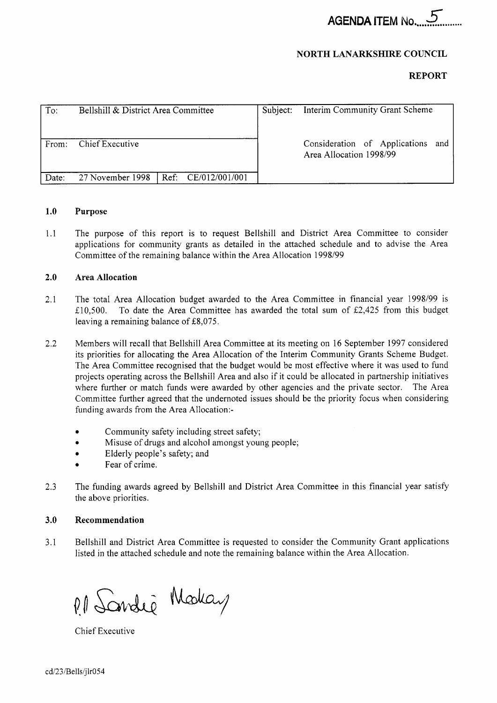**AGENDA ITEM No............** 

#### **NORTH LANARKSHIRE COUNCIL**

#### **REPORT**

| To:   | Bellshill & District Area Committee    | Subject: | Interim Community Grant Scheme                               |  |  |  |  |  |
|-------|----------------------------------------|----------|--------------------------------------------------------------|--|--|--|--|--|
| From: | Chief Executive                        |          | Consideration of Applications and<br>Area Allocation 1998/99 |  |  |  |  |  |
| Date: | 27 November 1998   Ref: CE/012/001/001 |          |                                                              |  |  |  |  |  |

#### **1 .o Purpose**

1.1 The purpose of this report is to request Bellshill and District Area Committee to consider applications for community grants as detailed in the attached schedule and to advise the Area Committee of the remaining balance within the Area Allocation 1998/99

#### **2.0 Area Allocation**

- 2.1 The total Area Allocation budget awarded to the Area Committee in financial year 1998/99 is £10,500. To date the Area Committee has awarded the total sum of £2,425 from this budget leaving a remaining balance of £8,075.
- 2.2 Members will recall that Bellshill Area Committee at its meeting on 16 September 1997 considered its priorities for allocating the Area Allocation of the Interim Community Grants Scheme Budget. The Area Committee recognised that the budget would be most effective where it was used to fund projects operating across the Bellshill Area and also if it could be allocated in partnership initiatives where further or match funds were awarded by other agencies and the private sector. The Area Committee further agreed that the undernoted issues should be the priority focus when considering
	- funding awards from the Area Allocation:- .
	- . Community safety including street safety; Misuse of drugs and alcohol amongst young people;
	- *<sup>0</sup>*Elderly people's safety; and
	- Misuse of drug<br>• Elderly people<br>• Fear of crime.
- 2.3 The funding awards agreed by Bellshill and District Area Committee in this financial year satisfy the above priorities.

#### **3.0 Recommendation**

3.1 Bellshill and District Area Committee is requested to consider the Community Grant applications listed in the attached schedule and note the remaining balance within the Area Allocation.

P. 1 Sandie Modeay

Chief Executive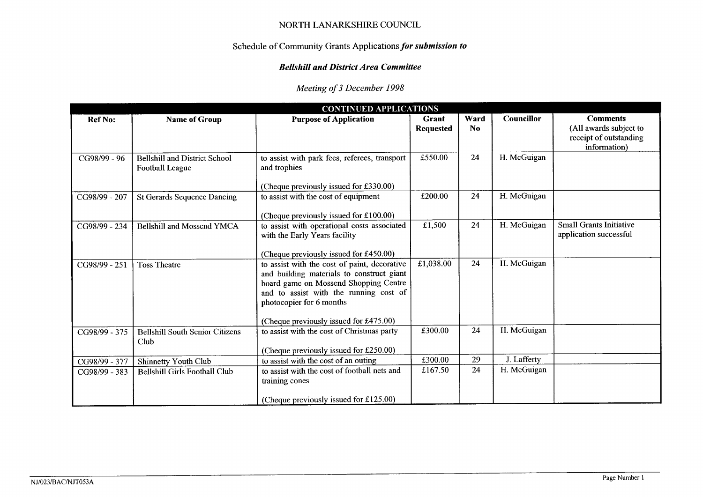# Schedule of Community Grants Applications for submission to

# Bellshill and District Area Committee

# *Meeting of 3 December 1998*

| NORTH LANARKSHIRE COUNCIL                                   |                                                         |                                                                                                                                                                                                          |                           |                        |             |                                                                                     |  |  |
|-------------------------------------------------------------|---------------------------------------------------------|----------------------------------------------------------------------------------------------------------------------------------------------------------------------------------------------------------|---------------------------|------------------------|-------------|-------------------------------------------------------------------------------------|--|--|
| Schedule of Community Grants Applications for submission to |                                                         |                                                                                                                                                                                                          |                           |                        |             |                                                                                     |  |  |
| <b>Bellshill and District Area Committee</b>                |                                                         |                                                                                                                                                                                                          |                           |                        |             |                                                                                     |  |  |
| Meeting of 3 December 1998                                  |                                                         |                                                                                                                                                                                                          |                           |                        |             |                                                                                     |  |  |
| <b>CONTINUED APPLICATIONS</b>                               |                                                         |                                                                                                                                                                                                          |                           |                        |             |                                                                                     |  |  |
| <b>Ref No:</b>                                              | Name of Group                                           | <b>Purpose of Application</b>                                                                                                                                                                            | Grant<br><b>Requested</b> | Ward<br>N <sub>0</sub> | Councillor  | <b>Comments</b><br>(All awards subject to<br>receipt of outstanding<br>information) |  |  |
| CG98/99 - 96                                                | <b>Bellshill and District School</b><br>Football League | to assist with park fees, referees, transport<br>and trophies                                                                                                                                            | £550.00                   | 24                     | H. McGuigan |                                                                                     |  |  |
|                                                             |                                                         | (Cheque previously issued for £330.00)                                                                                                                                                                   |                           |                        |             |                                                                                     |  |  |
| CG98/99 - 207                                               | <b>St Gerards Sequence Dancing</b>                      | to assist with the cost of equipment                                                                                                                                                                     | £200.00                   | 24                     | H. McGuigan |                                                                                     |  |  |
|                                                             |                                                         | (Cheque previously issued for £100.00)<br>to assist with operational costs associated                                                                                                                    | £1,500                    | 24                     | H. McGuigan | <b>Small Grants Initiative</b>                                                      |  |  |
| CG98/99 - 234                                               | <b>Bellshill and Mossend YMCA</b>                       | with the Early Years facility                                                                                                                                                                            |                           |                        |             | application successful                                                              |  |  |
|                                                             |                                                         | (Cheque previously issued for £450.00)                                                                                                                                                                   |                           |                        |             |                                                                                     |  |  |
| CG98/99 - 251                                               | <b>Toss Theatre</b>                                     | to assist with the cost of paint, decorative<br>and building materials to construct giant<br>board game on Mossend Shopping Centre<br>and to assist with the running cost of<br>photocopier for 6 months | £1,038.00                 | 24                     | H. McGuigan |                                                                                     |  |  |
|                                                             |                                                         | (Cheque previously issued for £475.00)                                                                                                                                                                   |                           |                        |             |                                                                                     |  |  |
| $CG98/99 - 375$                                             | <b>Bellshill South Senior Citizens</b><br>Club          | to assist with the cost of Christmas party                                                                                                                                                               | £300.00                   | 24                     | H. McGuigan |                                                                                     |  |  |
|                                                             |                                                         | (Cheque previously issued for £250.00)                                                                                                                                                                   |                           |                        | J. Lafferty |                                                                                     |  |  |
| CG98/99 - 377                                               | Shinnetty Youth Club                                    | to assist with the cost of an outing<br>to assist with the cost of football nets and                                                                                                                     | £300.00<br>£167.50        | 29<br>24               | H. McGuigan |                                                                                     |  |  |
| CG98/99 - 383                                               | Bellshill Girls Football Club                           | training cones                                                                                                                                                                                           |                           |                        |             |                                                                                     |  |  |
|                                                             |                                                         | (Cheque previously issued for £125.00)                                                                                                                                                                   |                           |                        |             |                                                                                     |  |  |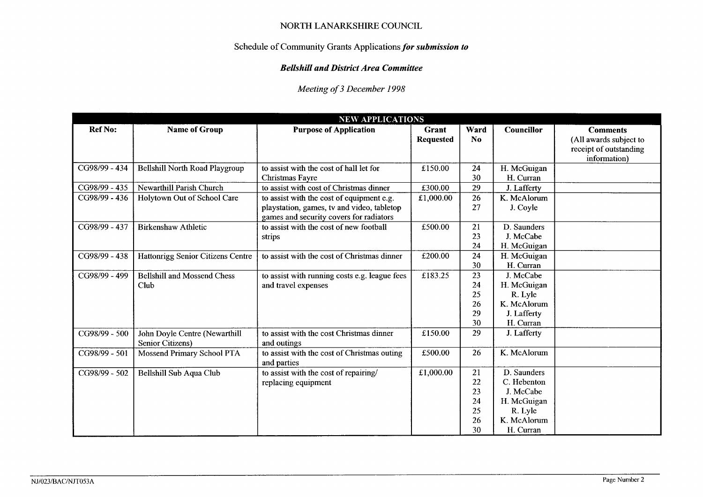# Schedule of Community Grants Applications for *submission to*

## *Bellshill and District Area Committee*

|                                                             |                                                          | NORTH LANARKSHIRE COUNCIL                                                                                                          |                  |                                        |                                                                                               |                                                                  |  |  |
|-------------------------------------------------------------|----------------------------------------------------------|------------------------------------------------------------------------------------------------------------------------------------|------------------|----------------------------------------|-----------------------------------------------------------------------------------------------|------------------------------------------------------------------|--|--|
| Schedule of Community Grants Applications for submission to |                                                          |                                                                                                                                    |                  |                                        |                                                                                               |                                                                  |  |  |
| <b>Bellshill and District Area Committee</b>                |                                                          |                                                                                                                                    |                  |                                        |                                                                                               |                                                                  |  |  |
|                                                             |                                                          |                                                                                                                                    |                  |                                        |                                                                                               |                                                                  |  |  |
|                                                             |                                                          | Meeting of 3 December 1998                                                                                                         |                  |                                        |                                                                                               |                                                                  |  |  |
|                                                             |                                                          |                                                                                                                                    |                  |                                        |                                                                                               |                                                                  |  |  |
| <b>Ref No:</b>                                              | <b>Name of Group</b>                                     | <b>NEW APPLICATIONS</b><br><b>Purpose of Application</b>                                                                           | Grant            | Ward                                   | Councillor                                                                                    | <b>Comments</b>                                                  |  |  |
|                                                             |                                                          |                                                                                                                                    | <b>Requested</b> | No.                                    |                                                                                               | (All awards subject to<br>receipt of outstanding<br>information) |  |  |
| CG98/99 - 434                                               | <b>Bellshill North Road Playgroup</b>                    | to assist with the cost of hall let for<br>Christmas Fayre                                                                         | £150.00          | 24<br>30                               | H. McGuigan<br>H. Curran                                                                      |                                                                  |  |  |
| CG98/99 - 435                                               | Newarthill Parish Church                                 | to assist with cost of Christmas dinner                                                                                            | £300.00          | 29                                     | J. Lafferty                                                                                   |                                                                  |  |  |
| CG98/99 - 436                                               | Holytown Out of School Care                              | to assist with the cost of equipment e.g.<br>playstation, games, tv and video, tabletop<br>games and security covers for radiators | £1,000.00        | 26<br>27                               | K. McAlorum<br>J. Coyle                                                                       |                                                                  |  |  |
| CG98/99 - 437                                               | <b>Birkenshaw Athletic</b>                               | to assist with the cost of new football<br>strips                                                                                  | £500.00          | 21<br>23<br>24                         | D. Saunders<br>J. McCabe<br>H. McGuigan                                                       |                                                                  |  |  |
| CG98/99 - 438                                               | Hattonrigg Senior Citizens Centre                        | to assist with the cost of Christmas dinner                                                                                        | £200.00          | 24<br>30                               | H. McGuigan<br>H. Curran                                                                      |                                                                  |  |  |
| CG98/99 - 499                                               | <b>Bellshill and Mossend Chess</b><br>Club               | to assist with running costs e.g. league fees<br>and travel expenses                                                               | £183.25          | 23<br>24<br>25<br>26<br>29<br>30       | J. McCabe<br>H. McGuigan<br>R. Lyle<br>K. McAlorum<br>J. Lafferty<br>H. Curran                |                                                                  |  |  |
| CG98/99 - 500                                               | John Doyle Centre (Newarthill<br><b>Senior Citizens)</b> | to assist with the cost Christmas dinner<br>and outings                                                                            | £150.00          | 29                                     | J. Lafferty                                                                                   |                                                                  |  |  |
| CG98/99 - 501                                               | <b>Mossend Primary School PTA</b>                        | to assist with the cost of Christmas outing<br>and parties                                                                         | £500.00          | 26                                     | K. McAlorum                                                                                   |                                                                  |  |  |
| CG98/99 - 502                                               | Bellshill Sub Aqua Club                                  | to assist with the cost of repairing/<br>replacing equipment                                                                       | £1,000.00        | 21<br>22<br>23<br>24<br>25<br>26<br>30 | D. Saunders<br>C. Hebenton<br>J. McCabe<br>H. McGuigan<br>R. Lyle<br>K. McAlorum<br>H. Curran |                                                                  |  |  |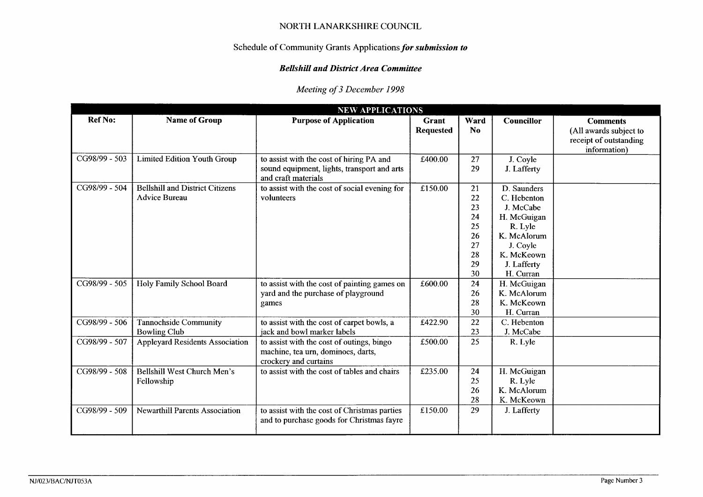# Schedule **of** Community Grants Applications *for submission to*

# *Bellshill and District Area Committee*

# *Meeting of 3 December 1998*

|                |                                                         | Schedule of Community Grants Applications for submission to                                                    |                           |                                                          |                                                                                                                                        |                                                                                     |
|----------------|---------------------------------------------------------|----------------------------------------------------------------------------------------------------------------|---------------------------|----------------------------------------------------------|----------------------------------------------------------------------------------------------------------------------------------------|-------------------------------------------------------------------------------------|
|                |                                                         | <b>Bellshill and District Area Committee</b>                                                                   |                           |                                                          |                                                                                                                                        |                                                                                     |
|                |                                                         | Meeting of 3 December 1998                                                                                     |                           |                                                          |                                                                                                                                        |                                                                                     |
|                |                                                         | <b>NEW APPLICATIONS</b>                                                                                        |                           |                                                          |                                                                                                                                        |                                                                                     |
| <b>Ref No:</b> | <b>Name of Group</b>                                    | <b>Purpose of Application</b>                                                                                  | Grant<br><b>Requested</b> | Ward<br>N <sub>0</sub>                                   | Councillor                                                                                                                             | <b>Comments</b><br>(All awards subject to<br>receipt of outstanding<br>information) |
| CG98/99 - 503  | <b>Limited Edition Youth Group</b>                      | to assist with the cost of hiring PA and<br>sound equipment, lights, transport and arts<br>and craft materials | £400.00                   | 27<br>29                                                 | J. Coyle<br>J. Lafferty                                                                                                                |                                                                                     |
| CG98/99 - 504  | <b>Bellshill and District Citizens</b><br>Advice Bureau | to assist with the cost of social evening for<br>volunteers                                                    | £150.00                   | 21<br>22<br>23<br>24<br>25<br>26<br>27<br>28<br>29<br>30 | D. Saunders<br>C. Hebenton<br>J. McCabe<br>H. McGuigan<br>R. Lyle<br>K. McAlorum<br>J. Coyle<br>K. McKeown<br>J. Lafferty<br>H. Curran |                                                                                     |
| CG98/99 - 505  | Holy Family School Board                                | to assist with the cost of painting games on<br>yard and the purchase of playground<br>games                   | £600.00                   | 24<br>26<br>28<br>$30\,$                                 | H. McGuigan<br>K. McAlorum<br>K. McKeown<br>H. Curran                                                                                  |                                                                                     |
| CG98/99 - 506  | Tannochside Community<br><b>Bowling Club</b>            | to assist with the cost of carpet bowls, a<br>jack and bowl marker labels                                      | £422.90                   | 22<br>23                                                 | C. Hebenton<br>J. McCabe                                                                                                               |                                                                                     |
| CG98/99 - 507  | <b>Appleyard Residents Association</b>                  | to assist with the cost of outings, bingo<br>machine, tea urn, dominoes, darts,<br>crockery and curtains       | £500.00                   | 25                                                       | R. Lyle                                                                                                                                |                                                                                     |
| CG98/99 - 508  | Bellshill West Church Men's<br>Fellowship               | to assist with the cost of tables and chairs                                                                   | £235.00                   | 24<br>25<br>26<br>28                                     | H. McGuigan<br>R. Lyle<br>K. McAlorum<br>K. McKeown                                                                                    |                                                                                     |
| CG98/99 - 509  | <b>Newarthill Parents Association</b>                   | to assist with the cost of Christmas parties<br>and to purchase goods for Christmas fayre                      | £150.00                   | 29                                                       | J. Lafferty                                                                                                                            |                                                                                     |